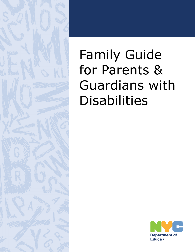

# Family Guide for Parents & Guardians with **Disabilities**

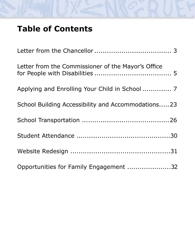# **Table of Contents**

| Letter from the Commissioner of the Mayor's Office |
|----------------------------------------------------|
|                                                    |
| School Building Accessibility and Accommodations23 |
|                                                    |
|                                                    |
|                                                    |
| Opportunities for Family Engagement 32             |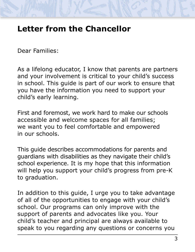# <span id="page-2-0"></span>**Letter from the Chancellor**

Dear Families:

As a lifelong educator, I know that parents are partners and your involvement is critical to your child's success in school. This guide is part of our work to ensure that you have the information you need to support your child's early learning.

 we want you to feel comfortable and empowered First and foremost, we work hard to make our schools accessible and welcome spaces for all families; in our schools.

This guide describes accommodations for parents and guardians with disabilities as they navigate their child's school experience. It is my hope that this information will help you support your child's progress from pre-K to graduation.

 child's teacher and principal are always available to In addition to this guide, I urge you to take advantage of all of the opportunities to engage with your child's school. Our programs can only improve with the support of parents and advocates like you. Your speak to you regarding any questions or concerns you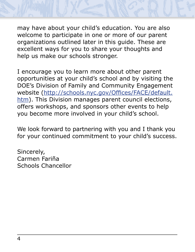may have about your child's education. You are also welcome to participate in one or more of our parent organizations outlined later in this guide. These are excellent ways for you to share your thoughts and help us make our schools stronger.

I encourage you to learn more about other parent opportunities at your child's school and by visiting the DOE's Division of Family and Community Engagement website (http://schools.nyc.gov/Offices/FACE/default. htm). This Division manages parent council elections, offers workshops, and sponsors other events to help you become more involved in your child's school.

We look forward to partnering with you and I thank you for your continued commitment to your child's success.

Sincerely, Carmen Fariña Schools Chancellor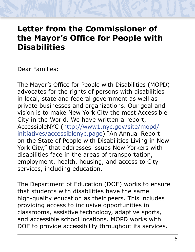### <span id="page-4-0"></span>**Letter from the Commissioner of the Mayor's Office for People with Disabilities**

Dear Families:

 The Mayor's Office for People with Disabilities (MOPD)advocates for the rights of persons with disabilities in local, state and federal government as well as private businesses and organizations. Our goal and vision is to make New York City the most Accessible City in the World. We have written a report, AccessibleNYC (http://www1.nyc.gov/site/mopd/ initiatives/accessiblenyc.page) "An Annual Report on the State of People with Disabilities Living in New York City," that addresses issues New Yorkers with disabilities face in the areas of transportation, employment, health, housing, and access to City services, including education.

The Department of Education (DOE) works to ensure that students with disabilities have the same high-quality education as their peers. This includes providing access to inclusive opportunities in classrooms, assistive technology, adaptive sports, and accessible school locations. MOPD works with DOE to provide accessibility throughout its services.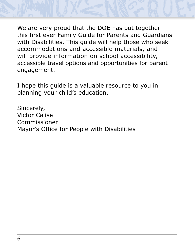

We are very proud that the DOE has put together this first ever Family Guide for Parents and Guardians with Disabilities. This guide will help those who seek accommodations and accessible materials, and will provide information on school accessibility, accessible travel options and opportunities for parent engagement.

I hope this guide is a valuable resource to you in planning your child's education.

Sincerely, Victor Calise Commissioner Mayor's Office for People with Disabilities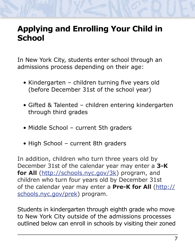# <span id="page-6-0"></span>**Applying and Enrolling Your Child in School**

In New York City, students enter school through an admissions process depending on their age:

- Kindergarten children turning five years old (before December 31st of the school year)
- Gifted & Talented children entering kindergarten through third grades
- Middle School current 5th graders
- High School current 8th graders

 December 31st of the calendar year may enter a **3-K**  In addition, children who turn three years old by for All (http://schools.nyc.gov/3k) program, and children who turn four years old by December 31st of the calendar year may enter a **Pre-K for All** (http:// schools.nyc.gov/prek) program.

Students in kindergarten through eighth grade who move to New York City outside of the admissions processes outlined below can enroll in schools by visiting their zoned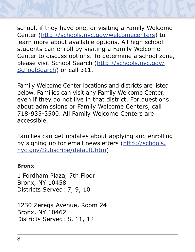school, if they have one, or visiting a Family Welcome Center (http://schools.nyc.gov/welcomecenters) to learn more about available options. All high school students can enroll by visiting a Family Welcome Center to discuss options. To determine a school zone, please visit School Search (http://schools.nyc.gov/ SchoolSearch) or call 311.

Family Welcome Center locations and districts are listed below. Families can visit any Family Welcome Center, even if they do not live in that district. For questions about admissions or Family Welcome Centers, call 718-935-3500. All Family Welcome Centers are accessible.

Families can get updates about applying and enrolling by signing up for email newsletters (http://schools. nyc.gov/Subscribe/default.htm).

#### **Bronx**

1 Fordham Plaza, 7th Floor Bronx, NY 10458 Districts Served: 7, 9, 10

1230 Zerega Avenue, Room 24 Bronx, NY 10462 Districts Served: 8, 11, 12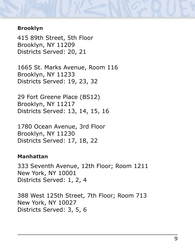#### **Brooklyn**

415 89th Street, 5th Floor Brooklyn, NY 11209 Districts Served: 20, 21

1665 St. Marks Avenue, Room 116 Brooklyn, NY 11233 Districts Served: 19, 23, 32

29 Fort Greene Place (BS12) Brooklyn, NY 11217 Districts Served: 13, 14, 15, 16

1780 Ocean Avenue, 3rd Floor Brooklyn, NY 11230 Districts Served: 17, 18, 22

#### **Manhattan**

333 Seventh Avenue, 12th Floor; Room 1211 New York, NY 10001 Districts Served: 1, 2, 4

388 West 125th Street, 7th Floor; Room 713 New York, NY 10027 Districts Served: 3, 5, 6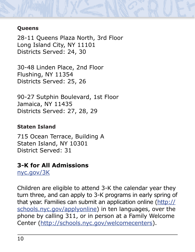#### **Queens**

28-11 Queens Plaza North, 3rd Floor Long Island City, NY 11101 Districts Served: 24, 30

30-48 Linden Place, 2nd Floor Flushing, NY 11354 Districts Served: 25, 26

90-27 Sutphin Boulevard, 1st Floor Jamaica, NY 11435 Districts Served: 27, 28, 29

#### **Staten Island**

715 Ocean Terrace, Building A Staten Island, NY 10301 District Served: 31

#### **3-K for All Admissions**

nyc.gov/3K

Children are eligible to attend 3-K the calendar year they turn three, and can apply to 3-K programs in early spring of that year. Families can submit an application online (http:// schools.nyc.gov/applyonline) in ten languages, over the phone by calling 311, or in person at a Family Welcome Center (http://schools.nyc.gov/welcomecenters).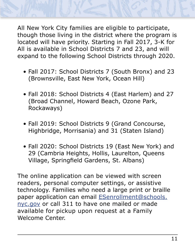All New York City families are eligible to participate, though those living in the district where the program is located will have priority. Starting in Fall 2017, 3-K for All is available in School Districts 7 and 23, and will expand to the following School Districts through 2020.

- Fall 2017: School Districts 7 (South Bronx) and 23 (Brownsville, East New York, Ocean Hill)
- Fall 2018: School Districts 4 (East Harlem) and 27 (Broad Channel, Howard Beach, Ozone Park, Rockaways)
- Fall 2019: School Districts 9 (Grand Concourse, Highbridge, Morrisania) and 31 (Staten Island)
- Fall 2020: School Districts 19 (East New York) and 29 (Cambria Heights, Hollis, Laurelton, Queens Village, Springfield Gardens, St. Albans)

nyc.gov or call 311 to have one mailed or made The online application can be viewed with screen readers, personal computer settings, or assistive technology. Families who need a large print or braille paper application can email **ESenrollment@schools.** available for pickup upon request at a Family Welcome Center.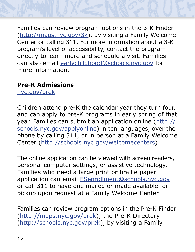Center or calling 311. For more information about a 3-K Families can review program options in the 3-K Finder (http://maps.nyc.gov/3k), by visiting a Family Welcome program's level of accessibility, contact the program directly to learn more and schedule a visit. Families can also email earlychildhood@schools.nyc.gov for more information.

#### **Pre-K Admissions**

nyc.gov/prek

Children attend pre-K the calendar year they turn four, and can apply to pre-K programs in early spring of that year. Families can submit an application online (http:// schools.nyc.gov/applyonline) in ten languages, over the phone by calling 311, or in person at a Family Welcome Center (http://schools.nyc.gov/welcomecenters).

The online application can be viewed with screen readers, personal computer settings, or assistive technology. Families who need a large print or braille paper application can email ESenrollment@schools.nyc.gov or call 311 to have one mailed or made available for pickup upon request at a Family Welcome Center.

Families can review program options in the Pre-K Finder (http://maps.nyc.gov/prek), the Pre-K Directory (http://schools.nyc.gov/prek), by visiting a Family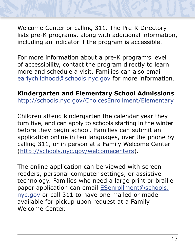Welcome Center or calling 311. The Pre-K Directory lists pre-K programs, along with additional information, including an indicator if the program is accessible.

For more information about a pre-K program's level of accessibility, contact the program directly to learn more and schedule a visit. Families can also email earlychildhood@schools.nyc.gov for more information.

**Kindergarten and Elementary School Admissions** http://schools.nyc.gov/ChoicesEnrollment/Elementary

 turn five, and can apply to schools starting in the winterChildren attend kindergarten the calendar year they before they begin school. Families can submit an application online in ten languages, over the phone by calling 311, or in person at a Family Welcome Center (http://schools.nyc.gov/welcomecenters).

The online application can be viewed with screen readers, personal computer settings, or assistive technology. Families who need a large print or braille paper application can email **ESenrollment@schools.** nyc.gov or call 311 to have one mailed or made available for pickup upon request at a Family Welcome Center.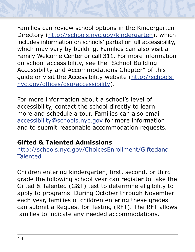Families can review school options in the Kindergarten Directory (http://schools.nyc.gov/kindergarten), which includes information on schools' partial or full accessibility, which may vary by building. Families can also visit a Family Welcome Center or call 311. For more information on school accessibility, see the "School Building Accessibility and Accommodations Chapter" of this guide or visit the Accessibility website (http://schools. nyc.gov/offices/osp/accessibility).

For more information about a school's level of accessibility, contact the school directly to learn more and schedule a tour. Families can also email accessibility@schools.nyc.gov for more information and to submit reasonable accommodation requests.

### **Gifted & Talented Admissions**

http://schools.nyc.gov/ChoicesEnrollment/Giftedand **Talented** 

Children entering kindergarten, first, second, or third grade the following school year can register to take the Gifted & Talented (G&T) test to determine eligibility to apply to programs. During October through November each year, families of children entering these grades can submit a Request for Testing (RFT). The RFT allows families to indicate any needed accommodations.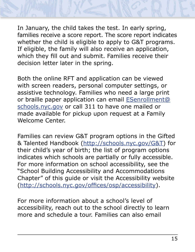

In January, the child takes the test. In early spring, families receive a score report. The score report indicates whether the child is eligible to apply to G&T programs. If eligible, the family will also receive an application, which they fill out and submit. Families receive their decision letter later in the spring.

Both the online RFT and application can be viewed with screen readers, personal computer settings, or assistive technology. Families who need a large print or braille paper application can email **ESenrollment@** schools.nyc.gov or call 311 to have one mailed or made available for pickup upon request at a Family Welcome Center.

Families can review G&T program options in the Gifted & Talented Handbook (http://schools.nyc.gov/G&T) for their child's year of birth; the list of program options indicates which schools are partially or fully accessible. For more information on school accessibility, see the "School Building Accessibility and Accommodations Chapter" of this guide or visit the Accessibility website (http://schools.nyc.gov/offices/osp/accessibility).

For more information about a school's level of accessibility, reach out to the school directly to learn more and schedule a tour. Families can also email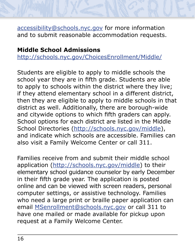accessibility@schools.nyc.gov for more information and to submit reasonable accommodation requests.

#### **Middle School Admissions**

http://schools.nyc.gov/ChoicesEnrollment/Middle/

Students are eligible to apply to middle schools the school year they are in fifth grade. Students are able to apply to schools within the district where they live; if they attend elementary school in a different district, then they are eligible to apply to middle schools in that district as well. Additionally, there are borough-wide and citywide options to which fifth graders can apply. School options for each district are listed in the Middle School Directories (http://schools.nyc.gov/middle), and indicate which schools are accessible. Families can also visit a Family Welcome Center or call 311.

Families receive from and submit their middle school application (http://schools.nyc.gov/middle) to their elementary school guidance counselor by early December in their fifth grade year. The application is posted online and can be viewed with screen readers, personal computer settings, or assistive technology. Families who need a large print or braille paper application can email MSenrollment@schools.nyc.gov or call 311 to have one mailed or made available for pickup upon request at a Family Welcome Center.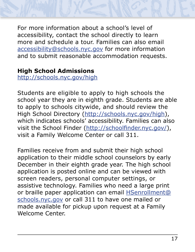For more information about a school's level of accessibility, contact the school directly to learn more and schedule a tour. Families can also email accessibility@schools.nyc.gov for more information and to submit reasonable accommodation requests.

#### **High School Admissions**

http://schools.nyc.gov/high

Students are eligible to apply to high schools the school year they are in eighth grade. Students are able to apply to schools citywide, and should review the High School Directory (http://schools.nyc.gov/high), which indicates schools' accessibility. Families can also visit the School Finder (http://schoolfinder.nyc.gov/), visit a Family Welcome Center or call 311.

Families receive from and submit their high school application to their middle school counselors by early December in their eighth grade year. The high school application is posted online and can be viewed with screen readers, personal computer settings, or assistive technology. Families who need a large print or braille paper application can email **HSenrollment@** schools.nyc.gov or call 311 to have one mailed or made available for pickup upon request at a Family Welcome Center.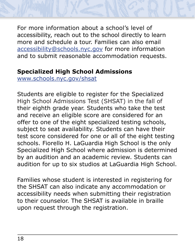For more information about a school's level of accessibility, reach out to the school directly to learn more and schedule a tour. Families can also email accessibility@schools.nyc.gov for more information and to submit reasonable accommodation requests.

#### **Specialized High School Admissions**

www.schools.nyc.gov/shsat

Students are eligible to register for the Specialized High School Admissions Test (SHSAT) in the fall of their eighth grade year. Students who take the test and receive an eligible score are considered for an offer to one of the eight specialized testing schools, subject to seat availability. Students can have their test score considered for one or all of the eight testing schools. Fiorello H. LaGuardia High School is the only Specialized High School where admission is determined by an audition and an academic review. Students can audition for up to six studios at LaGuardia High School.

Families whose student is interested in registering for the SHSAT can also indicate any accommodation or accessibility needs when submitting their registration to their counselor. The SHSAT is available in braille upon request through the registration.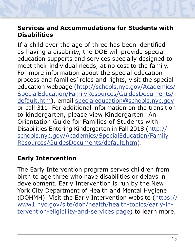#### **Services and Accommodations for Students with Disabilities**

If a child over the age of three has been identified as having a disability, the DOE will provide special education supports and services specially designed to meet their individual needs, at no cost to the family. For more information about the special education process and families' roles and rights, visit the special education webpage (http://schools.nyc.gov/Academics/ SpecialEducation/FamilyResources/GuidesDocuments/ default.htm), email specialeducation@schools.nyc.gov or call 311. For additional information on the transition to kindergarten, please view Kindergarten: An Orientation Guide for Families of Students with Disabilities Entering Kindergarten in Fall 2018 (http:// schools.nyc.gov/Academics/SpecialEducation/Family Resources/GuidesDocuments/default.htm).

### **Early Intervention**

The Early Intervention program serves children from birth to age three who have disabilities or delays in development. Early Intervention is run by the New York City Department of Health and Mental Hygiene (DOHMH). Visit the Early Intervention website (https:// www1.nyc.gov/site/doh/health/health-topics/early-intervention-eligibility-and-services.page) to learn more.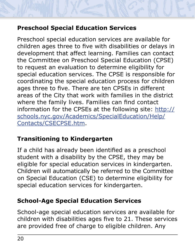### **Preschool Special Education Services**

Preschool special education services are available for children ages three to five with disabilities or delays in development that affect learning. Families can contact the Committee on Preschool Special Education (CPSE) to request an evaluation to determine eligibility for special education services. The CPSE is responsible for coordinating the special education process for children ages three to five. There are ten CPSEs in different areas of the City that work with families in the district where the family lives. Families can find contact information for the CPSEs at the following site: http:// schools.nyc.gov/Academics/SpecialEducation/Help/ Contacts/CSECPSE.htm.

#### **Transitioning to Kindergarten**

If a child has already been identified as a preschool student with a disability by the CPSE, they may be eligible for special education services in kindergarten. Children will automatically be referred to the Committee on Special Education (CSE) to determine eligibility for special education services for kindergarten.

#### **School-Age Special Education Services**

School-age special education services are available for children with disabilities ages five to 21. These services are provided free of charge to eligible children. Any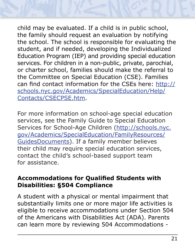

child may be evaluated. If a child is in public school, the family should request an evaluation by notifying the school. The school is responsible for evaluating the student, and if needed, developing the Individualized Education Program (IEP) and providing special education services. For children in a non-public, private, parochial, or charter school, families should make the referral to the Committee on Special Education (CSE). Families can find contact information for the CSEs here: http:// schools.nyc.gov/Academics/SpecialEducation/Help/ Contacts/CSECPSE.htm.

For more information on school-age special education services, see the Family Guide to Special Education Services for School-Age Children (http://schools.nyc. gov/Academics/SpecialEducation/FamilyResources/ GuidesDocuments). If a family member believes their child may require special education services, contact the child's school-based support team for assistance.

#### **Accommodations for Qualified Students with Disabilities: §504 Compliance**

A student with a physical or mental impairment that substantially limits one or more major life activities is eligible to receive accommodations under Section 504 of the Americans with Disabilities Act (ADA). Parents can learn more by reviewing 504 Accommodations -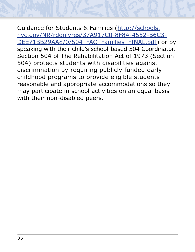Guidance for Students & Families (http://schools. nyc.gov/NR/rdonlyres/37A917C0-8F8A-4552-B6C3 DEE71BB29AA8/0/504\_FAQ\_Families\_FINAL.pdf) or by speaking with their child's school-based 504 Coordinator. Section 504 of The Rehabilitation Act of 1973 (Section 504) protects students with disabilities against discrimination by requiring publicly funded early childhood programs to provide eligible students reasonable and appropriate accommodations so they may participate in school activities on an equal basis with their non-disabled peers.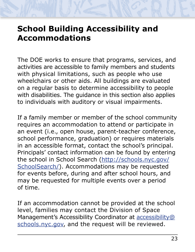# <span id="page-22-0"></span>**School Building Accessibility and Accommodations**

The DOE works to ensure that programs, services, and activities are accessible to family members and students with physical limitations, such as people who use wheelchairs or other aids. All buildings are evaluated on a regular basis to determine accessibility to people with disabilities. The guidance in this section also applies to individuals with auditory or visual impairments.

If a family member or member of the school community requires an accommodation to attend or participate in an event (i.e., open house, parent-teacher conference, school performance, graduation) or requires materials in an accessible format, contact the school's principal. Principals' contact information can be found by entering the school in School Search (http://schools.nyc.gov/ SchoolSearch/). Accommodations may be requested for events before, during and after school hours, and may be requested for multiple events over a period of time.

If an accommodation cannot be provided at the school level, families may contact the Division of Space Management's Accessibility Coordinator at **accessibility@** schools.nyc.gov, and the request will be reviewed.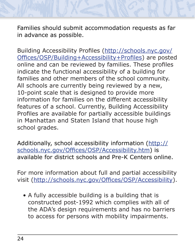Families should submit accommodation requests as far in advance as possible.

Building Accessibility Profiles (http://schools.nyc.gov/ Offices/OSP/Building+Accessibility+Profiles) are posted online and can be reviewed by families. These profiles indicate the functional accessibility of a building for families and other members of the school community. All schools are currently being reviewed by a new, 10-point scale that is designed to provide more information for families on the different accessibility features of a school. Currently, Building Accessibility Profiles are available for partially accessible buildings in Manhattan and Staten Island that house high school grades.

Additionally, school accessibility information (http:// schools.nyc.gov/Offices/OSP/Accessibility.htm) is available for district schools and Pre-K Centers online.

For more information about full and partial accessibility visit (http://schools.nyc.gov/Offices/OSP/Accessibility).

• A fully accessible building is a building that is constructed post-1992 which complies with all of the ADA's design requirements and has no barriers to access for persons with mobility impairments.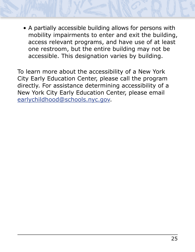• A partially accessible building allows for persons with mobility impairments to enter and exit the building, access relevant programs, and have use of at least one restroom, but the entire building may not be accessible. This designation varies by building.

To learn more about the accessibility of a New York City Early Education Center, please call the program directly. For assistance determining accessibility of a New York City Early Education Center, please email earlychildhood@schools.nyc.gov.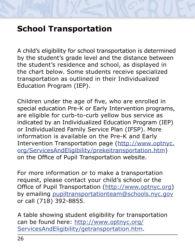# <span id="page-25-0"></span>**School Transportation**

A child's eligibility for school transportation is determined by the student's grade level and the distance between the student's residence and school, as displayed in the chart below. Some students receive specialized transportation as outlined in their Individualized Education Program (IEP).

Children under the age of five, who are enrolled in special education Pre-K or Early Intervention programs, are eligible for curb-to-curb yellow bus service as indicated by an Individualized Education Program (IEP) or Individualized Family Service Plan (IFSP). More information is available on the Pre-K and Early Intervention Transportation page (http://www.optnyc. org/ServicesAndEligibility/prekeitransportation.htm) on the Office of Pupil Transportation website.

For more information or to make a transportation request, please contact your child's school or the Office of Pupil Transportation (http://www.optnyc.org) by emailing pupiltransportationteam@schools.nyc.gov or call (718) 392-8855.

A table showing student eligibility for transportation can be found here: http://www.optnyc.org/ ServicesAndEligibility/getransportation.htm.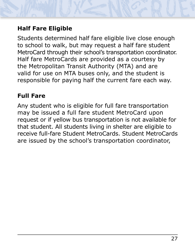### **Half Fare Eligible**

Students determined half fare eligible live close enough to school to walk, but may request a half fare student MetroCard through their school's transportation coordinator. Half fare MetroCards are provided as a courtesy by the Metropolitan Transit Authority (MTA) and are valid for use on MTA buses only, and the student is responsible for paying half the current fare each way.

#### **Full Fare**

Any student who is eligible for full fare transportation may be issued a full fare student MetroCard upon request or if yellow bus transportation is not available for that student. All students living in shelter are eligible to receive full-fare Student MetroCards. Student MetroCards are issued by the school's transportation coordinator,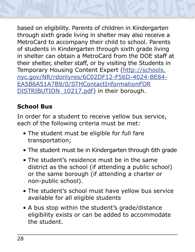

based on eligibility. Parents of children in Kindergarten through sixth grade living in shelter may also receive a MetroCard to accompany their child to school. Parents of students in Kindergarten through sixth grade living in shelter can obtain a MetroCard from the DOE staff at their shelter, shelter staff, or by visiting the Students in Temporary Housing Content Expert (http://schools. nyc.gov/NR/rdonlyres/6C02DF12-F56D-4024-BE84 EA5B6A51A7B9/0/STHContactInformationFOR DISTRIBUTION 10217.pdf) in their borough.

### **School Bus**

In order for a student to receive yellow bus service, each of the following criteria must be met:

- The student must be eligible for full fare
- transportation;<br>• The student must be in Kindergarten through 6th grade
- The student's residence must be in the same district as the school (if attending a public school) or the same borough (if attending a charter or non-public school).
- The student's school must have yellow bus service available for all eligible students
- A bus stop within the student's grade/distance eligibility exists or can be added to accommodate the student.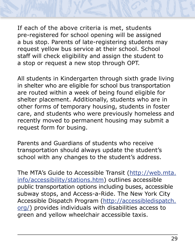If each of the above criteria is met, students pre-registered for school opening will be assigned a bus stop. Parents of late-registering students may request yellow bus service at their school. School staff will check eligibility and assign the student to a stop or request a new stop through OPT.

All students in Kindergarten through sixth grade living in shelter who are eligible for school bus transportation are routed within a week of being found eligible for shelter placement. Additionally, students who are in other forms of temporary housing, students in foster care, and students who were previously homeless and recently moved to permanent housing may submit a request form for busing.

Parents and Guardians of students who receive transportation should always update the student's school with any changes to the student's address.

The MTA's Guide to Accessible Transit (http://web.mta. info/accessibility/stations.htm) outlines accessible public transportation options including buses, accessible subway stops, and Access-a-Ride. The New York City Accessible Dispatch Program (http://accessibledispatch. org/) provides individuals with disabilities access to green and yellow wheelchair accessible taxis.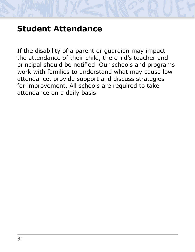# <span id="page-29-0"></span>**Student Attendance**

If the disability of a parent or guardian may impact the attendance of their child, the child's teacher and principal should be notified. Our schools and programs work with families to understand what may cause low attendance, provide support and discuss strategies for improvement. All schools are required to take attendance on a daily basis.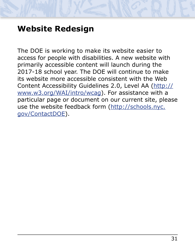# <span id="page-30-0"></span>**Website Redesign**

The DOE is working to make its website easier to access for people with disabilities. A new website with primarily accessible content will launch during the 2017-18 school year. The DOE will continue to make its website more accessible consistent with the Web Content Accessibility Guidelines 2.0, Level AA (http:// www.w3.org/WAI/intro/wcag). For assistance with a particular page or document on our current site, please use the website feedback form (http://schools.nyc. gov/ContactDOE).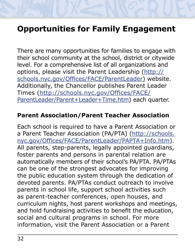# <span id="page-31-0"></span>**Opportunities for Family Engagement**

There are many opportunities for families to engage with their school community at the school, district or citywide level. For a comprehensive list of all organizations and options, please visit the Parent Leadership (http:// schools.nyc.gov/Offices/FACE/ParentLeader) website. Additionally, the Chancellor publishes Parent Leader Times (http://schools.nyc.gov/Offices/FACE/ ParentLeader/Parent+Leader+Time.htm) each quarter.

#### **Parent Association/Parent Teacher Association**

 and hold fundraising activities to benefit the education,Each school is required to have a Parent Association or a Parent Teacher Association (PA/PTA) (http://schools. nyc.gov/Offices/FACE/ParentLeader/PAPTA+Info.htm). All parents, step-parents, legally appointed guardians, foster parents and persons in parental relation are automatically members of their school's PA/PTA. PA/PTAs can be one of the strongest advocates for improving the public education system through the dedication of devoted parents. PA/PTAs conduct outreach to involve parents in school life, support school activities such as parent-teacher conferences, open houses, and curriculum nights, host parent workshops and meetings, social and cultural programs in school. For more information, visit the Parent Association or a Parent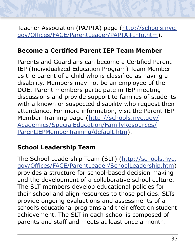Teacher Association (PA/PTA) page (http://schools.nyc. gov/Offices/FACE/ParentLeader/PAPTA+Info.htm).

#### **Become a Certified Parent IEP Team Member**

Parents and Guardians can become a Certified Parent IEP (Individualized Education Program) Team Member as the parent of a child who is classified as having a disability. Members may not be an employee of the DOE. Parent members participate in IEP meeting discussions and provide support to families of students with a known or suspected disability who request their attendance. For more information, visit the Parent IEP Member Training page (http://schools.nyc.gov/ Academics/SpecialEducation/FamilyResources/ ParentIEPMemberTraining/default.htm).

### **School Leadership Team**

The School Leadership Team (SLT) (http://schools.nyc. gov/Offices/FACE/ParentLeader/SchoolLeadership.htm) provides a structure for school-based decision making and the development of a collaborative school culture. The SLT members develop educational policies for their school and align resources to those policies. SLTs provide ongoing evaluations and assessments of a school's educational programs and their effect on student achievement. The SLT in each school is composed of parents and staff and meets at least once a month.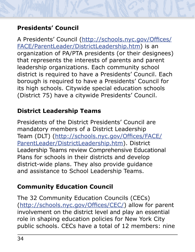### **Presidents' Council**

A Presidents' Council (http://schools.nyc.gov/Offices/ FACE/ParentLeader/DistrictLeadership.htm) is an organization of PA/PTA presidents (or their designees) that represents the interests of parents and parent leadership organizations. Each community school district is required to have a Presidents' Council. Each borough is required to have a Presidents' Council for its high schools. Citywide special education schools (District 75) have a citywide Presidents' Council.

#### **District Leadership Teams**

Presidents of the District Presidents' Council are mandatory members of a District Leadership Team (DLT) (http://schools.nyc.gov/Offices/FACE/ ParentLeader/DistrictLeadership.htm). District Leadership Teams review Comprehensive Educational Plans for schools in their districts and develop district-wide plans. They also provide guidance and assistance to School Leadership Teams.

### **Community Education Council**

The 32 Community Education Councils (CECs) (http://schools.nyc.gov/Offices/CEC/) allow for parent involvement on the district level and play an essential role in shaping education policies for New York City public schools. CECs have a total of 12 members: nine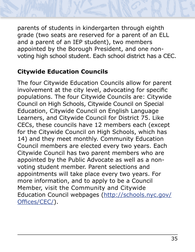

parents of students in kindergarten through eighth grade (two seats are reserved for a parent of an ELL and a parent of an IEP student), two members appointed by the Borough President, and one nonvoting high school student. Each school district has a CEC.

#### **Citywide Education Councils**

The four Citywide Education Councils allow for parent involvement at the city level, advocating for specific populations. The four Citywide Councils are: Citywide Council on High Schools, Citywide Council on Special Education, Citywide Council on English Language Learners, and Citywide Council for District 75. Like CECs, these councils have 12 members each (except for the Citywide Council on High Schools, which has 14) and they meet monthly. Community Education Council members are elected every two years. Each Citywide Council has two parent members who are appointed by the Public Advocate as well as a nonvoting student member. Parent selections and appointments will take place every two years. For more information, and to apply to be a Council Member, visit the Community and Citywide Education Council webpages (http://schools.nyc.gov/ Offices/CEC/).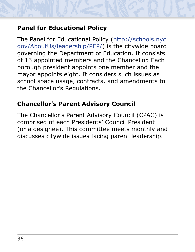### **Panel for Educational Policy**

The Panel for Educational Policy (http://schools.nyc. gov/AboutUs/leadership/PEP/) is the citywide board governing the Department of Education. It consists of 13 appointed members and the Chancellor. Each borough president appoints one member and the mayor appoints eight. It considers such issues as school space usage, contracts, and amendments to the Chancellor's Regulations.

#### **Chancellor's Parent Advisory Council**

The Chancellor's Parent Advisory Council (CPAC) is comprised of each Presidents' Council President (or a designee). This committee meets monthly and discusses citywide issues facing parent leadership.